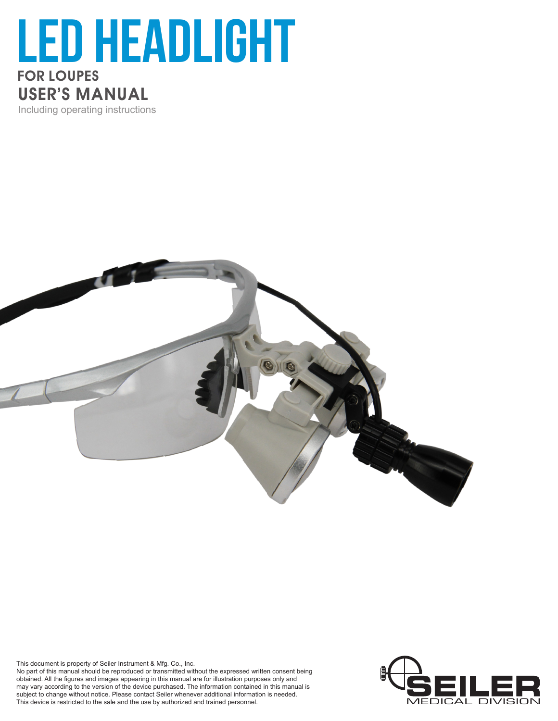## led Headlight FOR LOUPES USER'S MANUAL Including operating instructions



This document is property of Seiler Instrument & Mfg. Co., Inc.

No part of this manual should be reproduced or transmitted without the expressed written consent being obtained. All the figures and images appearing in this manual are for illustration purposes only and may vary according to the version of the device purchased. The information contained in this manual is subject to change without notice. Please contact Seiler whenever additional information is needed. This device is restricted to the sale and the use by authorized and trained personnel.

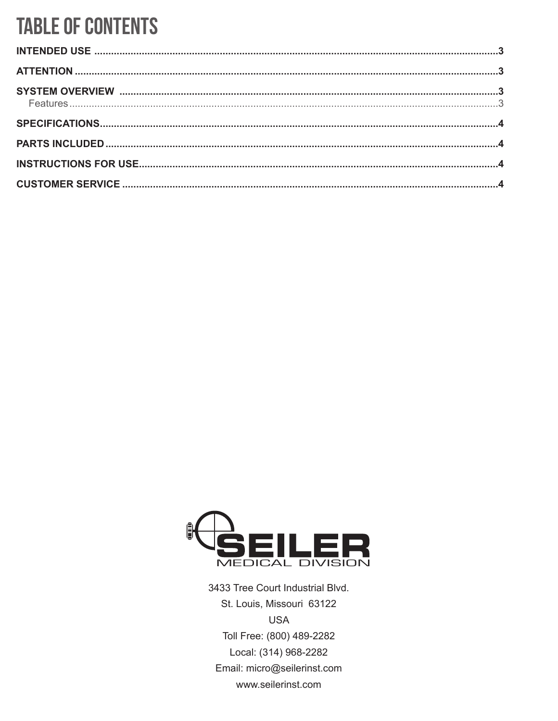## **TABLE OF CONTENTS**



3433 Tree Court Industrial Blvd. St. Louis, Missouri 63122 **USA** Toll Free: (800) 489-2282 Local: (314) 968-2282 Email: micro@seilerinst.com www.seilerinst.com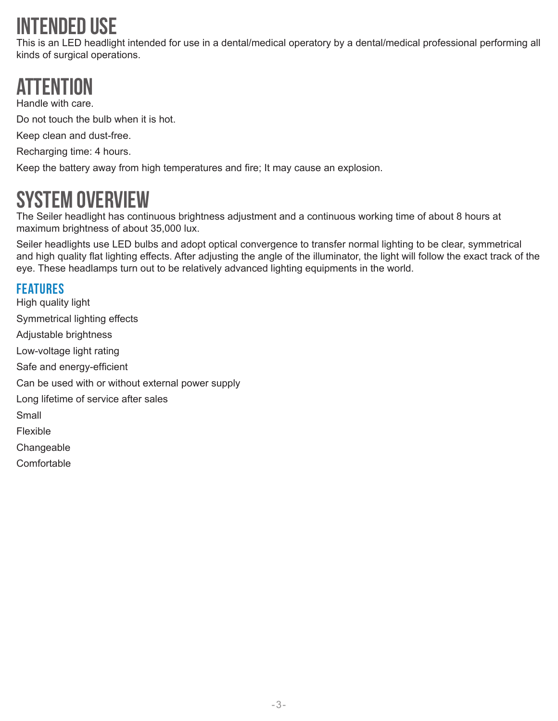# intended use

This is an LED headlight intended for use in a dental/medical operatory by a dental/medical professional performing all kinds of surgical operations.

# ATTENTI

Handle with care.

Do not touch the bulb when it is hot.

Keep clean and dust-free.

Recharging time: 4 hours.

Keep the battery away from high temperatures and fire; It may cause an explosion.

#### System Overview

The Seiler headlight has continuous brightness adjustment and a continuous working time of about 8 hours at maximum brightness of about 35,000 lux.

Seiler headlights use LED bulbs and adopt optical convergence to transfer normal lighting to be clear, symmetrical and high quality flat lighting effects. After adjusting the angle of the illuminator, the light will follow the exact track of the eye. These headlamps turn out to be relatively advanced lighting equipments in the world.

#### Features

High quality light Symmetrical lighting effects Adjustable brightness Low-voltage light rating Safe and energy-efficient Can be used with or without external power supply Long lifetime of service after sales Small Flexible **Changeable Comfortable**